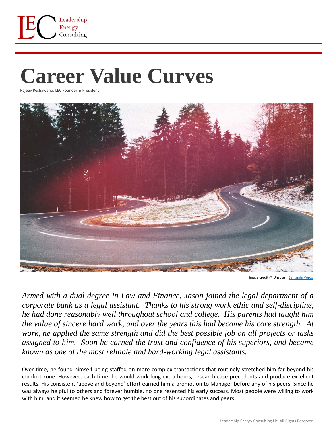

## **Career Value Curves**

Rajeev Peshawaria, LEC Founder & President



Image credit @ [Unsplash](https://unsplash.com/s/photos/remote-working?utm_source=unsplash&utm_medium=referral&utm_content=creditCopyText) Benjamin Voro

*Armed with a dual degree in Law and Finance, Jason joined the legal department of a corporate bank as a legal assistant. Thanks to his strong work ethic and self-discipline, he had done reasonably well throughout school and college. His parents had taught him the value of sincere hard work, and over the years this had become his core strength. At work, he applied the same strength and did the best possible job on all projects or tasks assigned to him. Soon he earned the trust and confidence of his superiors, and became known as one of the most reliable and hard-working legal assistants.*

Over time, he found himself being staffed on more complex transactions that routinely stretched him far beyond his comfort zone. However, each time, he would work long extra hours, research case precedents and produce excellent results. His consistent 'above and beyond' effort earned him a promotion to Manager before any of his peers. Since he was always helpful to others and forever humble, no one resented his early success. Most people were willing to work with him, and it seemed he knew how to get the best out of his subordinates and peers.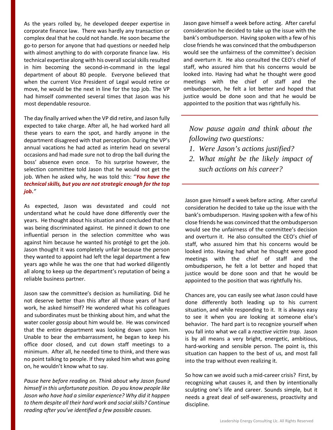As the years rolled by, he developed deeper expertise in corporate finance law. There was hardly any transaction or complex deal that he could not handle. He soon became the go-to person for anyone that had questions or needed help with almost anything to do with corporate finance law. His technical expertise along with his overall social skills resulted in him becoming the second-in-command in the legal department of about 80 people. Everyone believed that when the current Vice President of Legal would retire or move, he would be the next in line for the top job. The VP had himself commented several times that Jason was his most dependable resource.

The day finally arrived when the VP did retire, and Jason fully expected to take charge. After all, he had worked hard all these years to earn the spot, and hardly anyone in the department disagreed with that perception. During the VP's annual vacations he had acted as interim head on several occasions and had made sure not to drop the ball during the boss' absence even once. To his surprise however, the selection committee told Jason that he would not get the job. When he asked why, he was told this: "*You have the technical skills, but you are not strategic enough for the top job."*

As expected, Jason was devastated and could not understand what he could have done differently over the years. He thought about his situation and concluded that he was being discriminated against. He pinned it down to one influential person in the selection committee who was against him because he wanted his protégé to get the job. Jason thought it was completely unfair because the person they wanted to appoint had left the legal department a few years ago while he was the one that had worked diligently all along to keep up the department's reputation of being a reliable business partner.

Jason saw the committee's decision as humiliating. Did he not deserve better than this after all those years of hard work, he asked himself? He wondered what his colleagues and subordinates must be thinking about him, and what the water cooler gossip about him would be. He was convinced that the entire department was looking down upon him. Unable to bear the embarrassment, he began to keep his office door closed, and cut down staff meetings to a minimum. After all, he needed time to think, and there was no point talking to people. If they asked him what was going on, he wouldn't know what to say.

*Pause here before reading on. Think about why Jason found himself in this unfortunate position. Do you know people like Jason who have had a similar experience? Why did it happen to them despite all their hard work and social skills? Continue reading after you've identified a few possible causes.*

Jason gave himself a week before acting. After careful consideration he decided to take up the issue with the bank's ombudsperson. Having spoken with a few of his close friends he was convinced that the ombudsperson would see the unfairness of the committee's decision and overturn it. He also consulted the CEO's chief of staff, who assured him that his concerns would be looked into. Having had what he thought were good meetings with the chief of staff and the ombudsperson, he felt a lot better and hoped that justice would be done soon and that he would be appointed to the position that was rightfully his.

*Now pause again and think about the following two questions:*

- *1. Were Jason's actions justified?*
- *2. What might be the likely impact of such actions on his career?*

Jason gave himself a week before acting. After careful consideration he decided to take up the issue with the bank's ombudsperson. Having spoken with a few of his close friends he was convinced that the ombudsperson would see the unfairness of the committee's decision and overturn it. He also consulted the CEO's chief of staff, who assured him that his concerns would be looked into. Having had what he thought were good meetings with the chief of staff and the ombudsperson, he felt a lot better and hoped that justice would be done soon and that he would be appointed to the position that was rightfully his.

Chances are, you can easily see what Jason could have done differently both leading up to his current situation, and while responding to it. It is always easy to see it when you are looking at someone else's behavior. The hard part is to recognize yourself when you fall into what we call a *reactive victim trap*. Jason is by all means a very bright, energetic, ambitious, hard-working and sensible person. The point is, this situation can happen to the best of us, and most fall into the trap without even realizing it.

So how can we avoid such a mid-career crisis? First, by recognizing what causes it, and then by intentionally sculpting one's life and career. Sounds simple, but it needs a great deal of self-awareness, proactivity and discipline.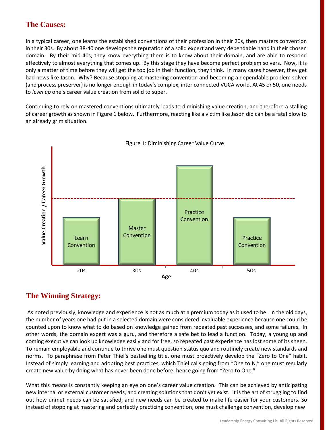## **The Causes:**

In a typical career, one learns the established conventions of their profession in their 20s, then masters convention in their 30s. By about 38-40 one develops the reputation of a solid expert and very dependable hand in their chosen domain. By their mid-40s, they know everything there is to know about their domain, and are able to respond effectively to almost everything that comes up. By this stage they have become perfect problem solvers. Now, it is only a matter of time before they will get the top job in their function, they think. In many cases however, they get bad news like Jason. Why? Because stopping at mastering convention and becoming a dependable problem solver (and process preserver) is no longer enough in today's complex, inter connected VUCA world. At 45 or 50, one needs to *level up* one's career value creation from solid to super.

Continuing to rely on mastered conventions ultimately leads to diminishing value creation, and therefore a stalling of career growth as shown in Figure 1 below. Furthermore, reacting like a victim like Jason did can be a fatal blow to an already grim situation.





## **The Winning Strategy:**

As noted previously, knowledge and experience is not as much at a premium today as it used to be. In the old days, the number of years one had put in a selected domain were considered invaluable experience because one could be counted upon to know what to do based on knowledge gained from repeated past successes, and some failures. In other words, the domain expert was a guru, and therefore a safe bet to lead a function. Today, a young up and coming executive can look up knowledge easily and for free, so repeated past experience has lost some of its sheen. To remain employable and continue to thrive one must question status quo and routinely create new standards and norms. To paraphrase from Peter Thiel's bestselling title, one must proactively develop the "Zero to One" habit. Instead of simply learning and adopting best practices, which Thiel calls going from "One to N," one must regularly create new value by doing what has never been done before, hence going from "Zero to One."

What this means is constantly keeping an eye on one's career value creation. This can be achieved by anticipating new internal or external customer needs, and creating solutions that don't yet exist. It is the art of struggling to find out how unmet needs can be satisfied, and new needs can be created to make life easier for your customers. So instead of stopping at mastering and perfectly practicing convention, one must challenge convention, develop new